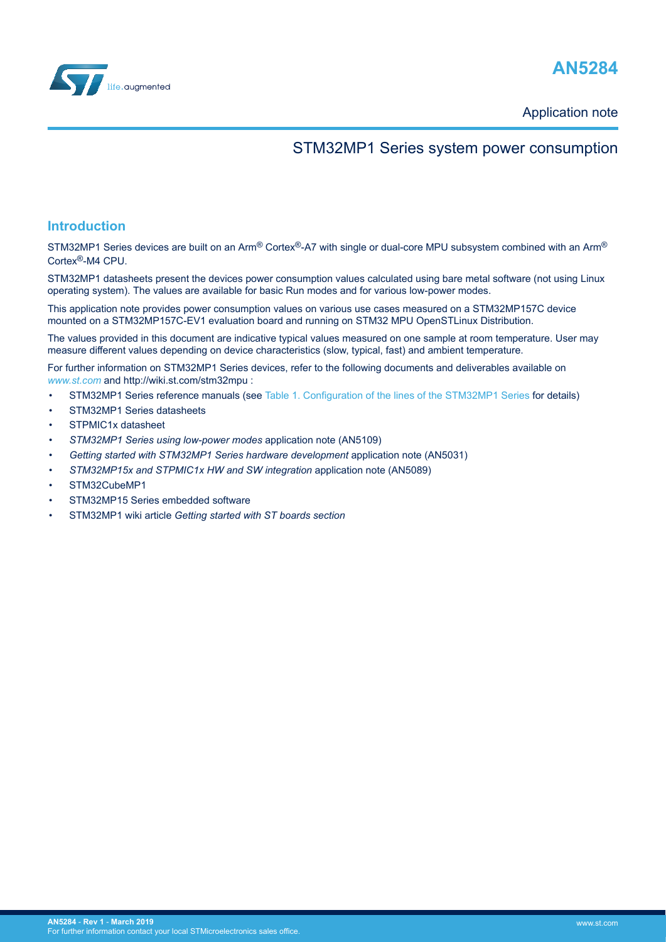



Application note

## STM32MP1 Series system power consumption

## **Introduction**

STM32MP1 Series devices are built on an Arm® Cortex®-A7 with single or dual-core MPU subsystem combined with an Arm® Cortex®-M4 CPU.

STM32MP1 datasheets present the devices power consumption values calculated using bare metal software (not using Linux operating system). The values are available for basic Run modes and for various low-power modes.

This application note provides power consumption values on various use cases measured on a STM32MP157C device mounted on a STM32MP157C-EV1 evaluation board and running on STM32 MPU OpenSTLinux Distribution.

The values provided in this document are indicative typical values measured on one sample at room temperature. User may measure different values depending on device characteristics (slow, typical, fast) and ambient temperature.

For further information on STM32MP1 Series devices, refer to the following documents and deliverables available on *[www.st.com](http://www.st.com)* and http://wiki.st.com/stm32mpu :

- STM32MP1 Series reference manuals (see [Table 1. Configuration of the lines of the STM32MP1 Series](#page-1-0) for details)
- STM32MP1 Series datasheets
- STPMIC1x datasheet
- *STM32MP1 Series using low-power modes* application note (AN5109)
- *Getting started with STM32MP1 Series hardware development* application note (AN5031)
- *STM32MP15x and STPMIC1x HW and SW integration* application note (AN5089)
- STM32CubeMP1
- STM32MP15 Series embedded software
- STM32MP1 wiki article *Getting started with ST boards section*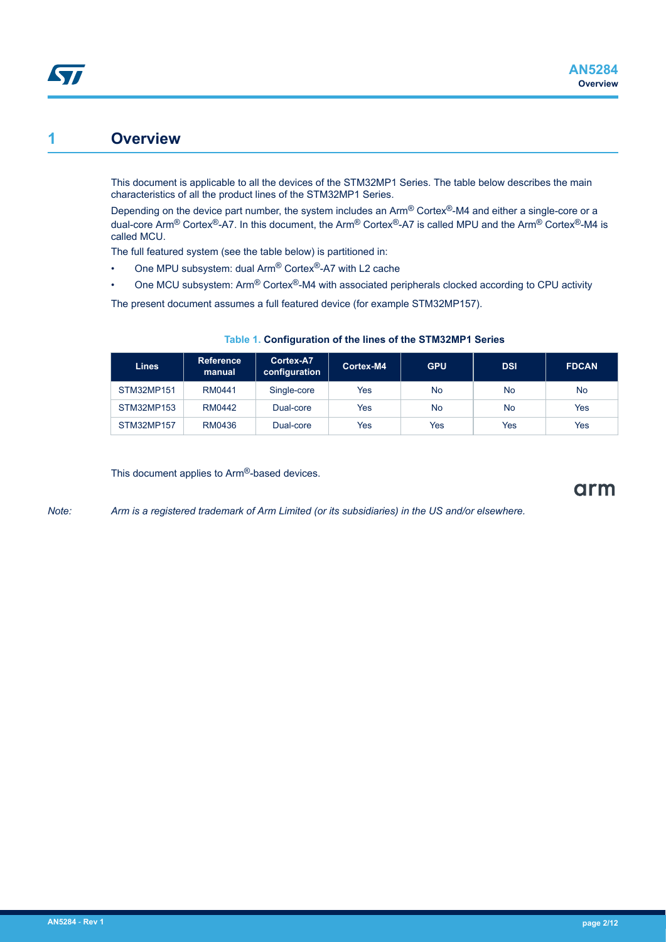# <span id="page-1-0"></span>**1 Overview**

This document is applicable to all the devices of the STM32MP1 Series. The table below describes the main characteristics of all the product lines of the STM32MP1 Series.

Depending on the device part number, the system includes an Arm® Cortex®-M4 and either a single-core or a dual-core Arm® Cortex®-A7. In this document, the Arm® Cortex®-A7 is called MPU and the Arm® Cortex®-M4 is called MCU.

The full featured system (see the table below) is partitioned in:

- One MPU subsystem: dual Arm® Cortex®-A7 with L2 cache
- One MCU subsystem: Arm® Cortex®-M4 with associated peripherals clocked according to CPU activity

The present document assumes a full featured device (for example STM32MP157).

| <b>Lines</b>      | <b>Reference</b><br>manual | Cortex-A7<br>configuration | Cortex-M4 | <b>GPU</b> | <b>DSI</b> | <b>FDCAN</b> |
|-------------------|----------------------------|----------------------------|-----------|------------|------------|--------------|
| <b>STM32MP151</b> | RM0441                     | Single-core                | Yes       | <b>No</b>  | No         | <b>No</b>    |
| STM32MP153        | RM0442                     | Dual-core                  | Yes       | <b>No</b>  | No         | Yes          |
| STM32MP157        | RM0436                     | Dual-core                  | Yes       | Yes        | Yes        | Yes          |

### **Table 1. Configuration of the lines of the STM32MP1 Series**

This document applies to Arm®-based devices.

arm

*Note: Arm is a registered trademark of Arm Limited (or its subsidiaries) in the US and/or elsewhere.*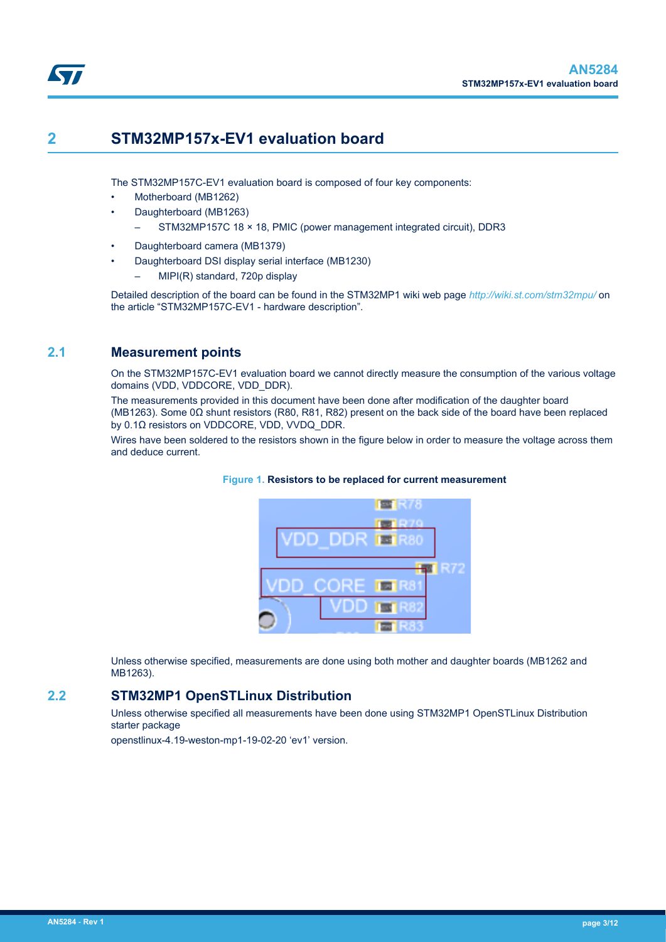

# <span id="page-2-0"></span>**2 STM32MP157x-EV1 evaluation board**

The STM32MP157C-EV1 evaluation board is composed of four key components:

- Motherboard (MB1262)
- Daughterboard (MB1263)
	- STM32MP157C 18 × 18, PMIC (power management integrated circuit), DDR3
- Daughterboard camera (MB1379)
- Daughterboard DSI display serial interface (MB1230)
	- MIPI(R) standard, 720p display

Detailed description of the board can be found in the STM32MP1 wiki web page *[http://wiki.st.com/stm32mpu/](http://wiki.st.com/stm32mpu)* on the article "STM32MP157C-EV1 - hardware description".

## **2.1 Measurement points**

On the STM32MP157C-EV1 evaluation board we cannot directly measure the consumption of the various voltage domains (VDD, VDDCORE, VDD DDR).

The measurements provided in this document have been done after modification of the daughter board (MB1263). Some 0Ω shunt resistors (R80, R81, R82) present on the back side of the board have been replaced by 0.1Ω resistors on VDDCORE, VDD, VVDQ\_DDR.

Wires have been soldered to the resistors shown in the figure below in order to measure the voltage across them and deduce current.



#### **Figure 1. Resistors to be replaced for current measurement**

 $RTR$ 

露

Unless otherwise specified, measurements are done using both mother and daughter boards (MB1262 and MB1263).

## **2.2 STM32MP1 OpenSTLinux Distribution**

Unless otherwise specified all measurements have been done using STM32MP1 OpenSTLinux Distribution starter package

openstlinux-4.19-weston-mp1-19-02-20 'ev1' version.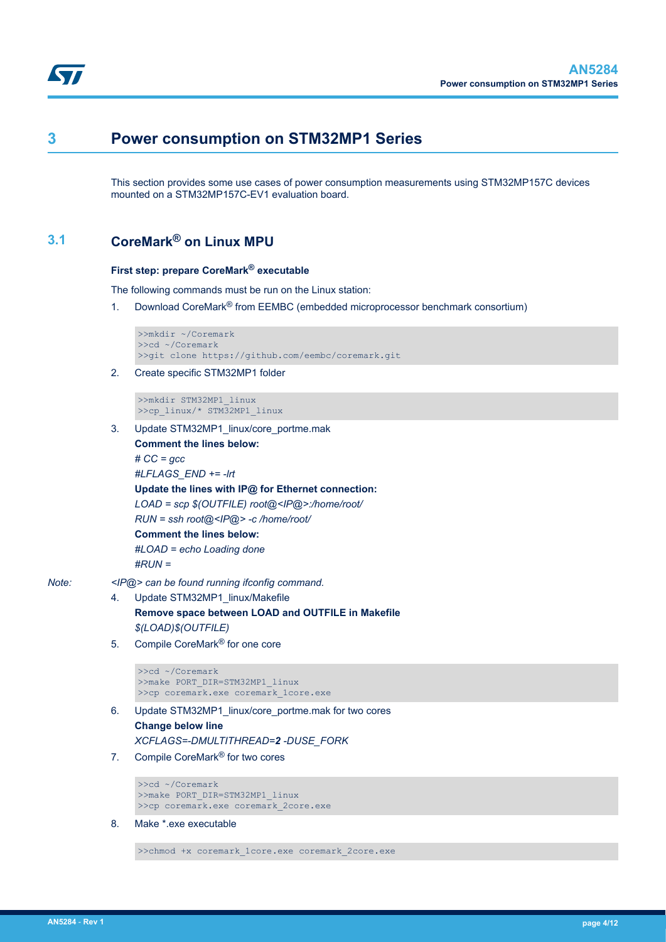<span id="page-3-0"></span>

# **3 Power consumption on STM32MP1 Series**

This section provides some use cases of power consumption measurements using STM32MP157C devices mounted on a STM32MP157C-EV1 evaluation board.

## **3.1 CoreMark® on Linux MPU**

#### **First step: prepare CoreMark® executable**

The following commands must be run on the Linux station:

1. Download CoreMark<sup>®</sup> from EEMBC (embedded microprocessor benchmark consortium)

```
>>mkdir ~/Coremark
>>cd ~/Coremark
>>git clone https://github.com/eembc/coremark.git
```
2. Create specific STM32MP1 folder

>>mkdir STM32MP1\_linux >>cp\_linux/\* STM32MP1\_linux

3. Update STM32MP1\_linux/core\_portme.mak **Comment the lines below:** *# CC = gcc #LFLAGS\_END += -lrt* **Update the lines with IP@ for Ethernet connection:** *LOAD = scp \$(OUTFILE) root@<IP@>:/home/root/ RUN = ssh root@<IP@> -c /home/root/* **Comment the lines below:**

*#LOAD = echo Loading done*

*#RUN =*

- *Note: <IP@> can be found running ifconfig command.*
	- 4. Update STM32MP1\_linux/Makefile **Remove space between LOAD and OUTFILE in Makefile** *\$(LOAD)\$(OUTFILE)*
	- 5. Compile CoreMark® for one core

```
>>cd ~/Coremark
>>make PORT_DIR=STM32MP1_linux
>>cp coremark.exe coremark_1core.exe
```
- 6. Update STM32MP1\_linux/core\_portme.mak for two cores **Change below line** *XCFLAGS=-DMULTITHREAD=2 -DUSE\_FORK*
- 7. Compile CoreMark® for two cores

```
>>cd ~/Coremark
>>make PORT_DIR=STM32MP1_linux
>>cp coremark.exe coremark_2core.exe
```
8. Make \*.exe executable

>>chmod +x coremark\_1core.exe coremark\_2core.exe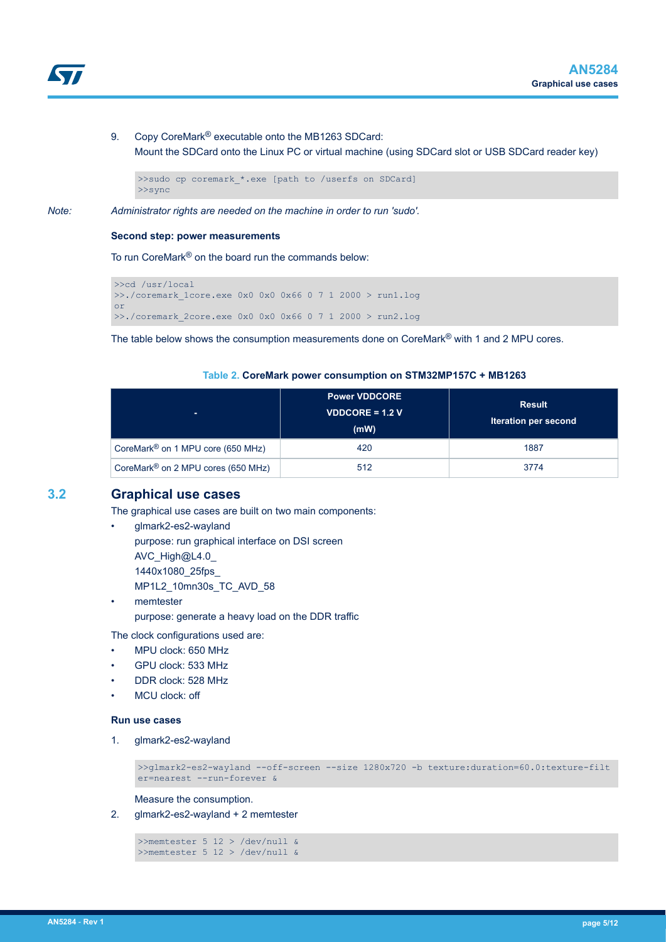<span id="page-4-0"></span>

9. Copy CoreMark<sup>®</sup> executable onto the MB1263 SDCard: Mount the SDCard onto the Linux PC or virtual machine (using SDCard slot or USB SDCard reader key)

```
>>sudo cp coremark *.exe [path to /userfs on SDCard]
>>sync
```
*Note: Administrator rights are needed on the machine in order to run 'sudo'.*

#### **Second step: power measurements**

To run CoreMark® on the board run the commands below:

```
>>cd /usr/local
\geq./coremark 1core.exe 0x0 0x0 0x66 0 7 1 2000 > run1.log
or
>>./coremark_2core.exe 0x0 0x0 0x66 0 7 1 2000 > run2.log
```
The table below shows the consumption measurements done on CoreMark® with 1 and 2 MPU cores.

#### **Table 2. CoreMark power consumption on STM32MP157C + MB1263**

| ж.                                             | <b>Power VDDCORE</b><br><b>VDDCORE = 1.2 V</b><br>(mW) | <b>Result</b><br><b>Iteration per second</b> |
|------------------------------------------------|--------------------------------------------------------|----------------------------------------------|
| CoreMark <sup>®</sup> on 1 MPU core (650 MHz)  | 420                                                    | 1887                                         |
| CoreMark <sup>®</sup> on 2 MPU cores (650 MHz) | 512                                                    | 3774                                         |

### **3.2 Graphical use cases**

The graphical use cases are built on two main components:

- glmark2-es2-wayland purpose: run graphical interface on DSI screen AVC\_High@L4.0 1440x1080\_25fps\_ MP1L2\_10mn30s\_TC\_AVD\_58
- memtester purpose: generate a heavy load on the DDR traffic

The clock configurations used are:

- MPU clock: 650 MHz
- GPU clock: 533 MHz
- DDR clock: 528 MHz
- MCU clock: off

#### **Run use cases**

1. glmark2-es2-wayland

>>glmark2-es2-wayland --off-screen --size 1280x720 -b texture:duration=60.0:texture-filt er=nearest --run-forever &

Measure the consumption.

2. glmark2-es2-wayland + 2 memtester

```
>>memtester 5 12 > /dev/null &
>>memtester 5 12 > /dev/null &
```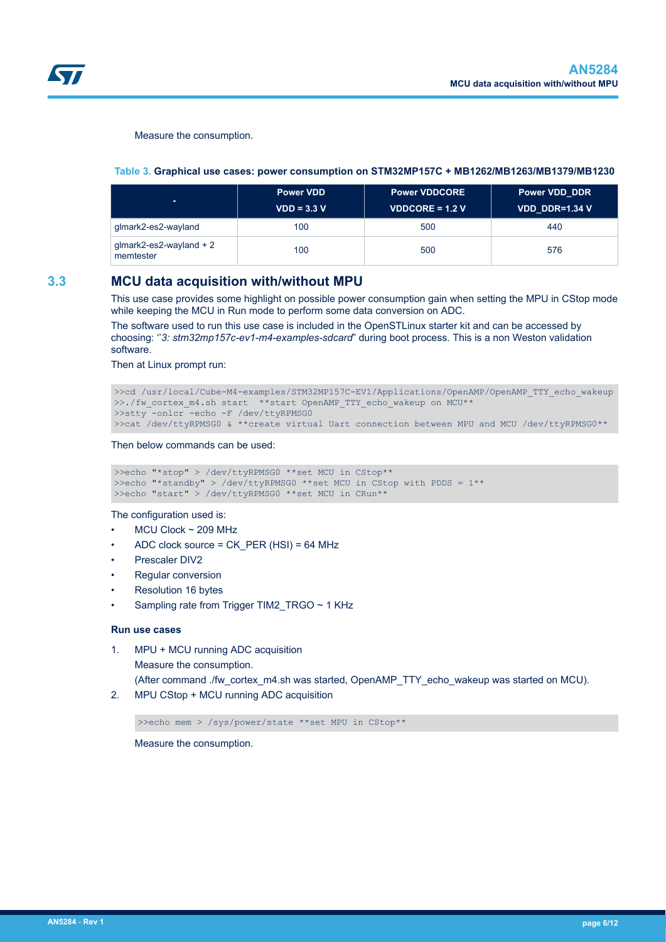<span id="page-5-0"></span>

Measure the consumption.

#### **Table 3. Graphical use cases: power consumption on STM32MP157C + MB1262/MB1263/MB1379/MB1230**

| ж.                                      | <b>Power VDD</b><br>$VDD = 3.3 V$ | <b>Power VDDCORE</b><br><b>VDDCORE = 1.2 V</b> | <b>Power VDD DDR</b><br>VDD DDR=1.34 V |
|-----------------------------------------|-----------------------------------|------------------------------------------------|----------------------------------------|
| glmark2-es2-wayland                     | 100                               | 500                                            | 440                                    |
| $g$ lmark2-es2-wayland + 2<br>memtester | 100                               | 500                                            | 576                                    |

### **3.3 MCU data acquisition with/without MPU**

This use case provides some highlight on possible power consumption gain when setting the MPU in CStop mode while keeping the MCU in Run mode to perform some data conversion on ADC.

The software used to run this use case is included in the OpenSTLinux starter kit and can be accessed by choosing: ''*3: stm32mp157c-ev1-m4-examples-sdcard*" during boot process. This is a non Weston validation software.

Then at Linux prompt run:

```
>>cd /usr/local/Cube-M4-examples/STM32MP157C-EV1/Applications/OpenAMP/OpenAMP_TTY_echo_wakeup
>>./fw_cortex_m4.sh_start **start OpenAMP_TTY_echo_wakeup on MCU**
>>stty -onlcr -echo -F /dev/ttyRPMSG0
>>cat /dev/ttyRPMSG0 & **create virtual Uart connection between MPU and MCU /dev/ttyRPMSG0**
```
Then below commands can be used:

```
>>echo "*stop" > /dev/ttyRPMSG0 **set MCU in CStop**
>>echo "*standby" > /dev/ttyRPMSG0 **set MCU in CStop with PDDS = 1**
>>echo "start" > /dev/ttyRPMSG0 **set MCU in CRun**
```
The configuration used is:

- $MCU$  Clock  $\sim$  209 MHz
- ADC clock source = CK\_PER (HSI) = 64 MHz
- Prescaler DIV2
- Regular conversion
- Resolution 16 bytes
- Sampling rate from Trigger TIM2\_TRGO ~ 1 KHz

#### **Run use cases**

1. MPU + MCU running ADC acquisition Measure the consumption.

(After command ./fw\_cortex\_m4.sh was started, OpenAMP\_TTY\_echo\_wakeup was started on MCU).

2. MPU CStop + MCU running ADC acquisition

>>echo mem > /sys/power/state \*\*set MPU in CStop\*\*

Measure the consumption.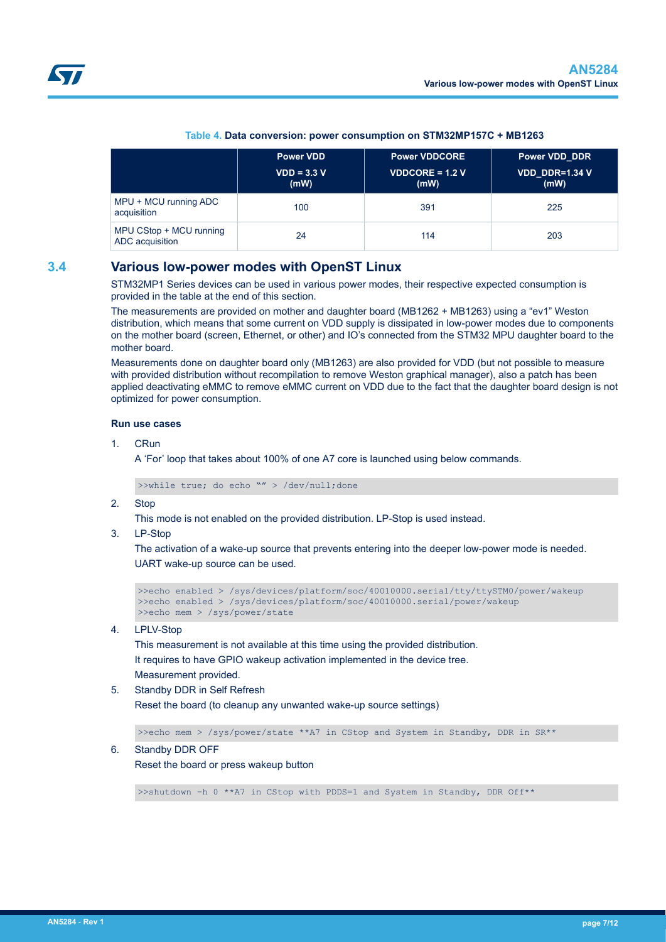<span id="page-6-0"></span>

|                                            | Power VDD             | <b>Power VDDCORE</b>           | <b>Power VDD DDR</b>   |  |
|--------------------------------------------|-----------------------|--------------------------------|------------------------|--|
|                                            | $VDD = 3.3 V$<br>(mW) | <b>VDDCORE = 1.2 V</b><br>(mW) | VDD DDR=1.34 V<br>(mW) |  |
| MPU + MCU running ADC<br>acquisition       | 100                   | 391                            | 225                    |  |
| MPU CStop + MCU running<br>ADC acquisition | 24                    | 114                            | 203                    |  |

### **Table 4. Data conversion: power consumption on STM32MP157C + MB1263**

## **3.4 Various low-power modes with OpenST Linux**

STM32MP1 Series devices can be used in various power modes, their respective expected consumption is provided in the table at the end of this section.

The measurements are provided on mother and daughter board (MB1262 + MB1263) using a "ev1" Weston distribution, which means that some current on VDD supply is dissipated in low-power modes due to components on the mother board (screen, Ethernet, or other) and IO's connected from the STM32 MPU daughter board to the mother board.

Measurements done on daughter board only (MB1263) are also provided for VDD (but not possible to measure with provided distribution without recompilation to remove Weston graphical manager), also a patch has been applied deactivating eMMC to remove eMMC current on VDD due to the fact that the daughter board design is not optimized for power consumption.

### **Run use cases**

1. CRun

A 'For' loop that takes about 100% of one A7 core is launched using below commands.

>>while true; do echo "" > /dev/null;done

2. Stop

This mode is not enabled on the provided distribution. LP-Stop is used instead.

3. LP-Stop

The activation of a wake-up source that prevents entering into the deeper low-power mode is needed. UART wake-up source can be used.

```
>>echo enabled > /sys/devices/platform/soc/40010000.serial/tty/ttySTM0/power/wakeup
>>echo enabled > /sys/devices/platform/soc/40010000.serial/power/wakeup
>>echo mem > /sys/power/state
```
### 4. LPLV-Stop

This measurement is not available at this time using the provided distribution. It requires to have GPIO wakeup activation implemented in the device tree. Measurement provided.

#### 5. Standby DDR in Self Refresh

Reset the board (to cleanup any unwanted wake-up source settings)

>>echo mem > /sys/power/state \*\*A7 in CStop and System in Standby, DDR in SR\*\*

#### 6. Standby DDR OFF

Reset the board or press wakeup button

>>shutdown –h 0 \*\*A7 in CStop with PDDS=1 and System in Standby, DDR Off\*\*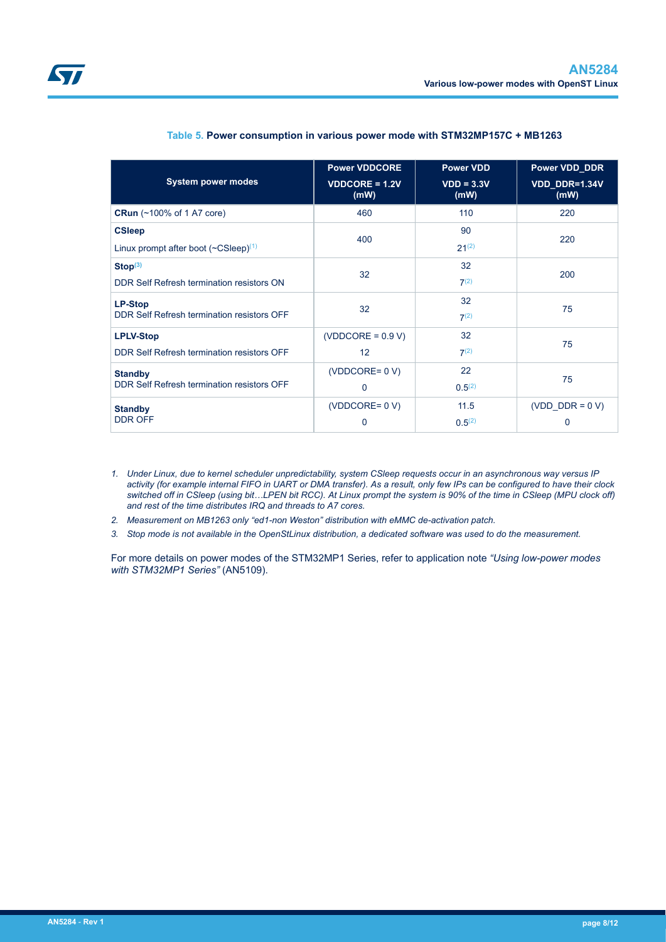<span id="page-7-0"></span>

| <b>System power modes</b>                      | <b>Power VDDCORE</b><br>$VDDCORE = 1.2V$<br>(mW) | <b>Power VDD</b><br>$VDD = 3.3V$<br>(mW) | <b>Power VDD DDR</b><br>VDD DDR=1.34V<br>(mW) |  |
|------------------------------------------------|--------------------------------------------------|------------------------------------------|-----------------------------------------------|--|
| <b>CRun</b> (~100% of 1 A7 core)               | 460                                              | 110                                      | 220                                           |  |
| <b>CSleep</b>                                  | 400                                              | 90                                       | 220                                           |  |
| Linux prompt after boot $({\sim}CSleep)^{(1)}$ |                                                  | $21^{(2)}$                               |                                               |  |
| Stop <sup>(3)</sup>                            | 32                                               | 32                                       | 200                                           |  |
| DDR Self Refresh termination resistors ON      |                                                  | 7 <sup>(2)</sup>                         |                                               |  |
| <b>LP-Stop</b>                                 | 32                                               | 32                                       | 75                                            |  |
| DDR Self Refresh termination resistors OFF     |                                                  | $7^{(2)}$                                |                                               |  |
| <b>LPLV-Stop</b>                               | $(VDDCORE = 0.9 V)$                              | 32                                       | 75                                            |  |
| DDR Self Refresh termination resistors OFF     | 12                                               | $7^{(2)}$                                |                                               |  |
| <b>Standby</b>                                 | $(VDDCORE = 0 V)$                                | 22                                       | 75                                            |  |
| DDR Self Refresh termination resistors OFF     | $\mathbf{0}$                                     | 0.5 <sup>(2)</sup>                       |                                               |  |
| <b>Standby</b>                                 | $(VDDCORE = 0 V)$                                | 11.5                                     | (VDD DDR = $0 V$ )                            |  |
| <b>DDR OFF</b>                                 | 0                                                | 0.5 <sup>(2)</sup>                       | 0                                             |  |

### **Table 5. Power consumption in various power mode with STM32MP157C + MB1263**

- *1. Under Linux, due to kernel scheduler unpredictability, system CSleep requests occur in an asynchronous way versus IP activity (for example internal FIFO in UART or DMA transfer). As a result, only few IPs can be configured to have their clock switched off in CSleep (using bit…LPEN bit RCC). At Linux prompt the system is 90% of the time in CSleep (MPU clock off) and rest of the time distributes IRQ and threads to A7 cores.*
- *2. Measurement on MB1263 only "ed1-non Weston" distribution with eMMC de-activation patch.*
- *3. Stop mode is not available in the OpenStLinux distribution, a dedicated software was used to do the measurement.*

For more details on power modes of the STM32MP1 Series, refer to application note *"Using low-power modes with STM32MP1 Series"* (AN5109).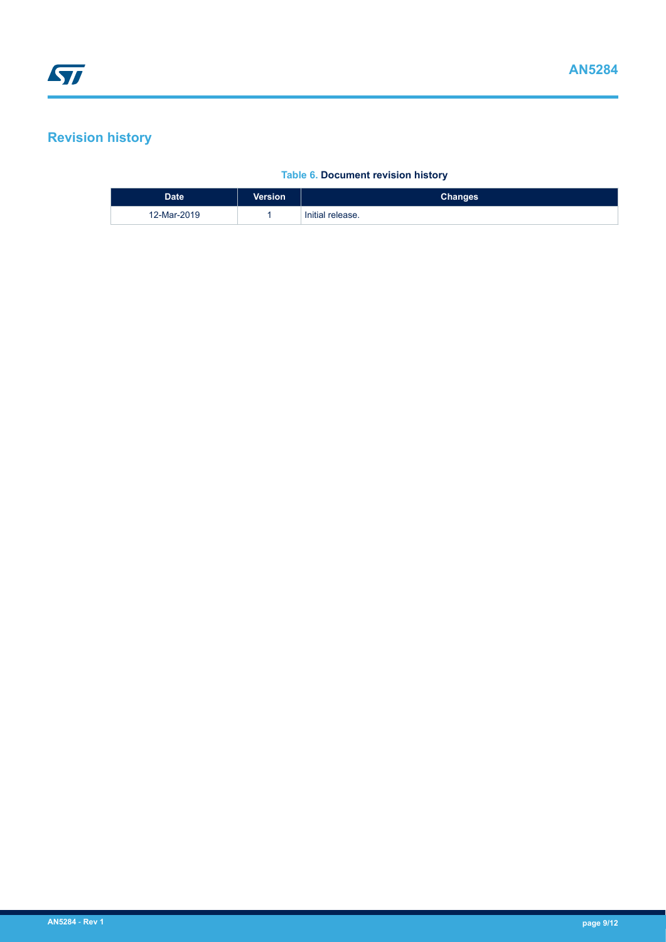# <span id="page-8-0"></span>**Revision history**

### **Table 6. Document revision history**

| <b>Date</b> | <b>Version</b> | <b>Changes</b>   |
|-------------|----------------|------------------|
| 12-Mar-2019 |                | Initial release. |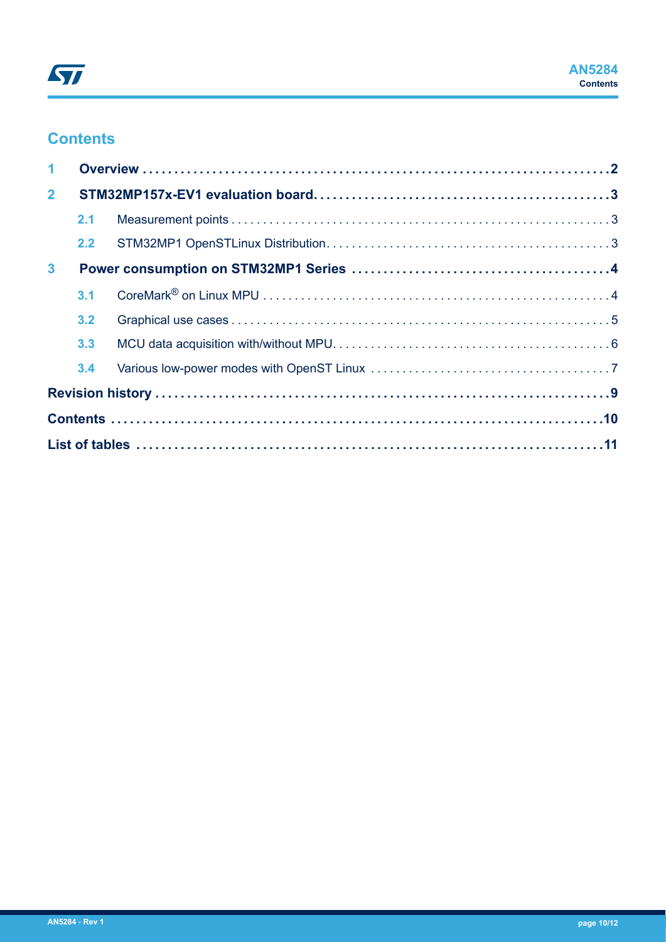# **Contents**

| $\mathbf 1$    |     |  |  |  |
|----------------|-----|--|--|--|
| 2 <sup>1</sup> |     |  |  |  |
|                | 2.1 |  |  |  |
|                | 2.2 |  |  |  |
| 3 <sup>1</sup> |     |  |  |  |
|                | 3.1 |  |  |  |
|                | 3.2 |  |  |  |
|                | 3.3 |  |  |  |
|                | 3.4 |  |  |  |
|                |     |  |  |  |
|                |     |  |  |  |
|                |     |  |  |  |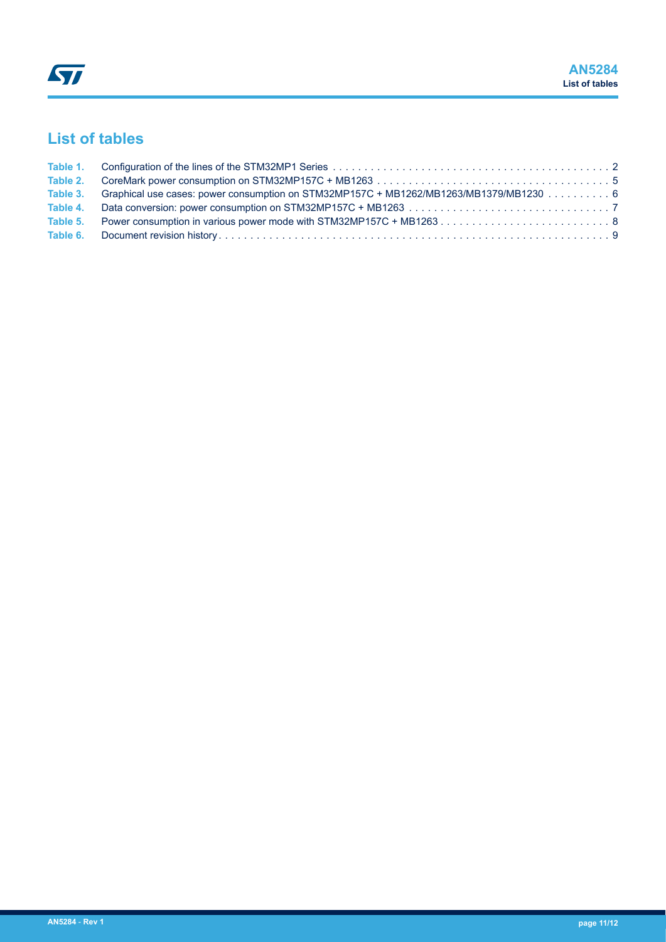# <span id="page-10-0"></span>**List of tables**

| Table 3. Graphical use cases: power consumption on STM32MP157C + MB1262/MB1263/MB1379/MB1230 6 |  |
|------------------------------------------------------------------------------------------------|--|
|                                                                                                |  |
|                                                                                                |  |
|                                                                                                |  |